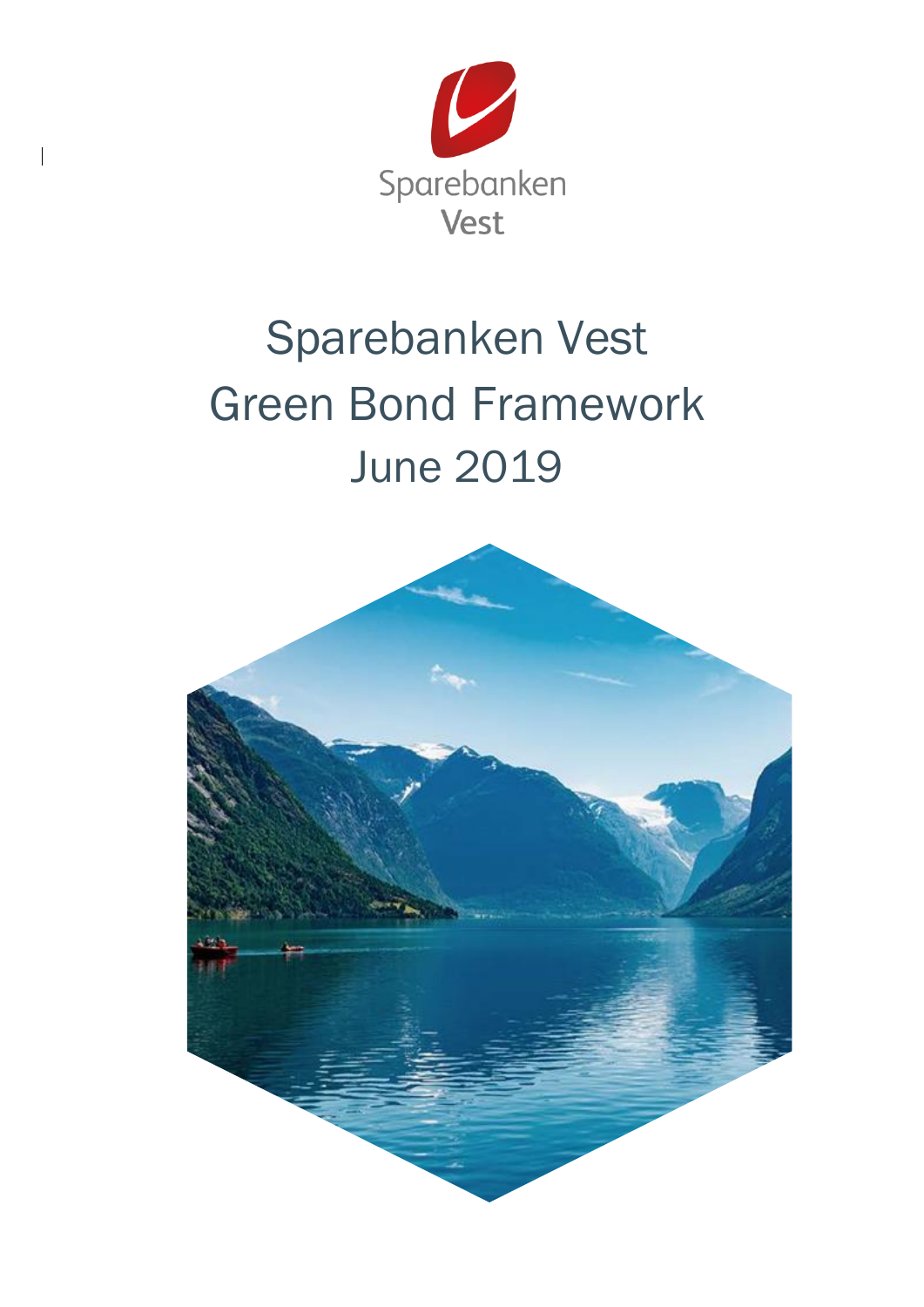

 $\overline{\mathbf{I}}$ 

# Sparebanken Vest Green Bond Framework June 2019

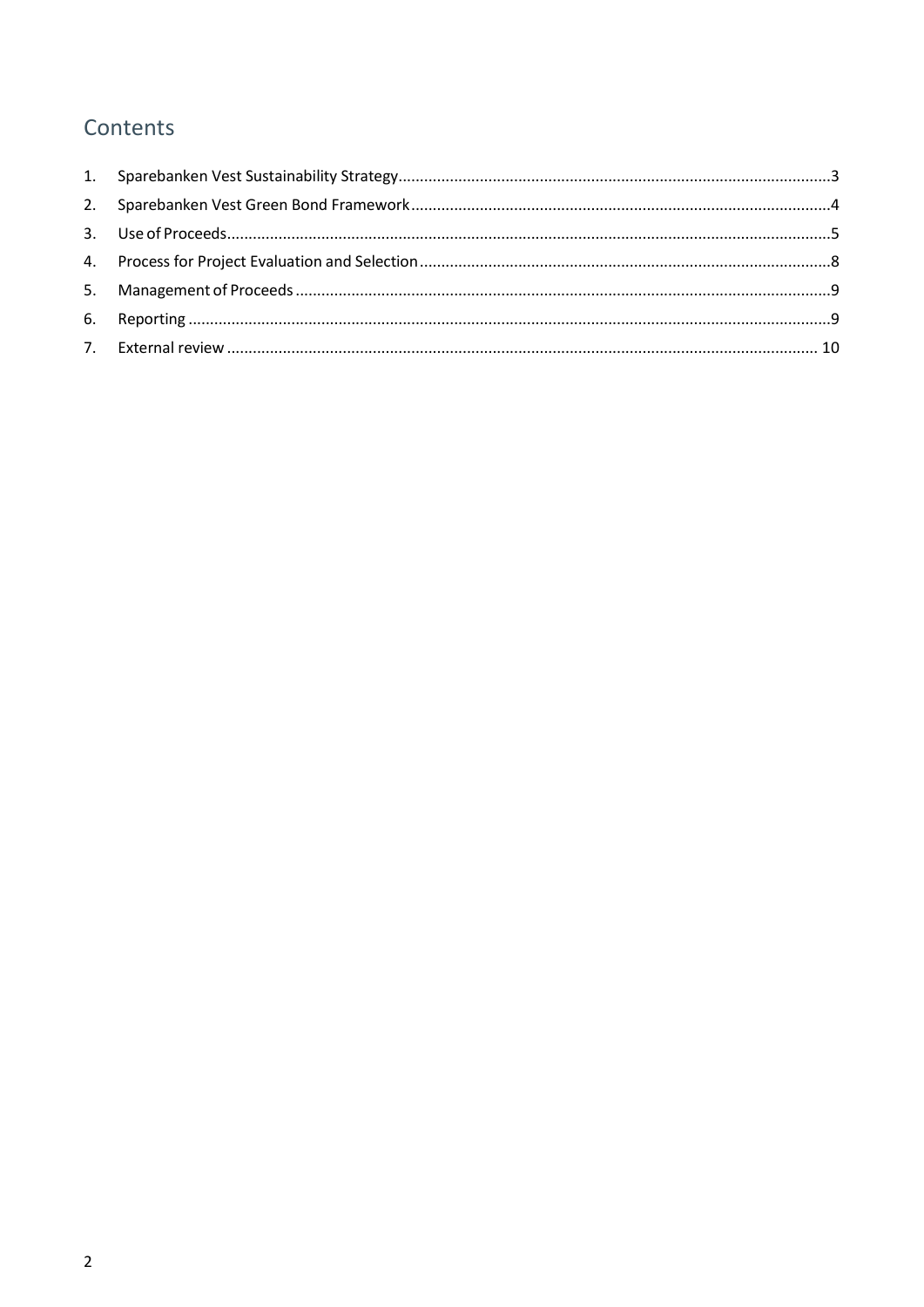# Contents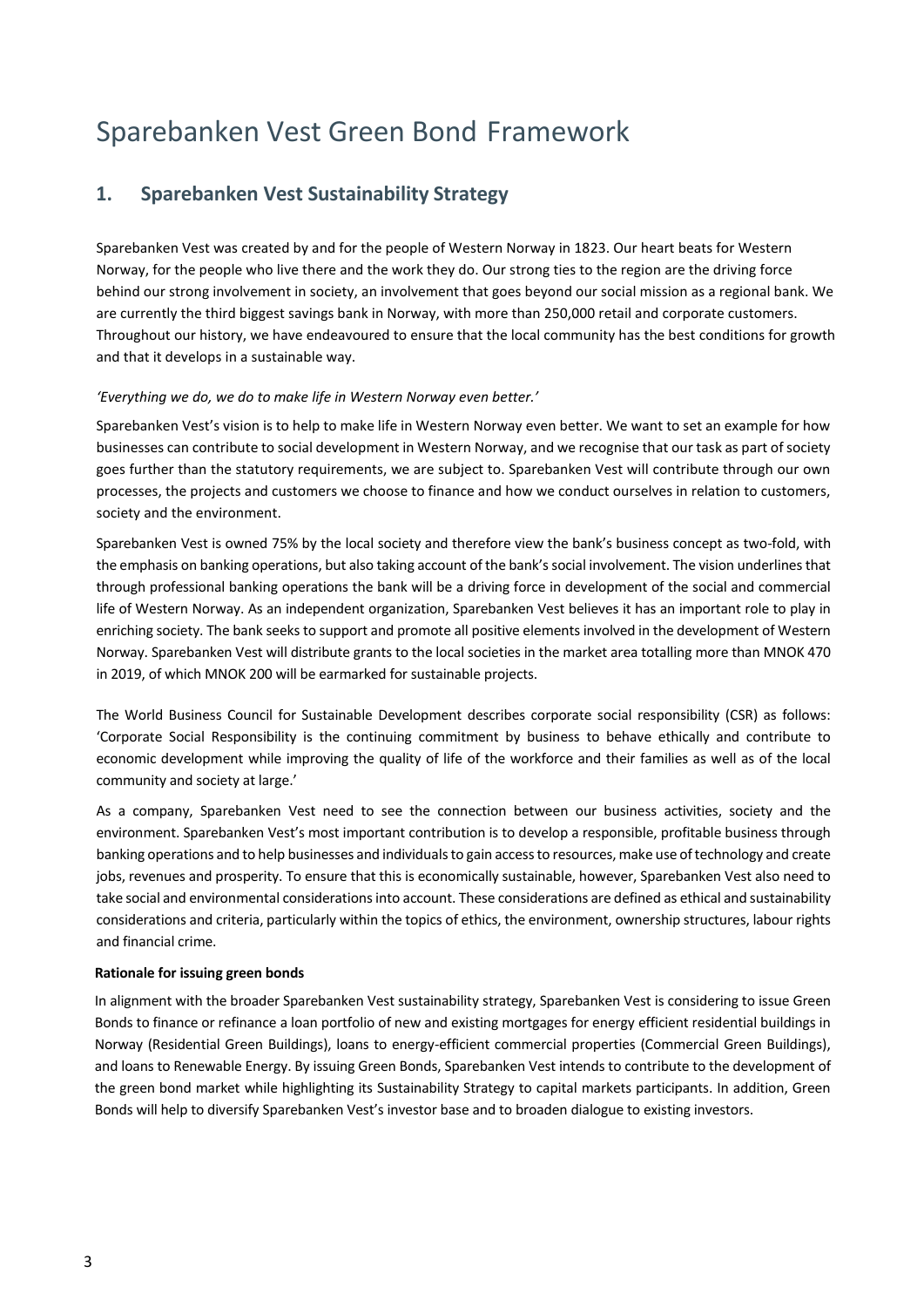# Sparebanken Vest Green Bond Framework

# <span id="page-2-0"></span>**1. Sparebanken Vest Sustainability Strategy**

Sparebanken Vest was created by and for the people of Western Norway in 1823. Our heart beats for Western Norway, for the people who live there and the work they do. Our strong ties to the region are the driving force behind our strong involvement in society, an involvement that goes beyond our social mission as a regional bank. We are currently the third biggest savings bank in Norway, with more than 250,000 retail and corporate customers. Throughout our history, we have endeavoured to ensure that the local community has the best conditions for growth and that it develops in a sustainable way.

#### *'Everything we do, we do to make life in Western Norway even better.'*

Sparebanken Vest's vision is to help to make life in Western Norway even better. We want to set an example for how businesses can contribute to social development in Western Norway, and we recognise that our task as part of society goes further than the statutory requirements, we are subject to. Sparebanken Vest will contribute through our own processes, the projects and customers we choose to finance and how we conduct ourselves in relation to customers, society and the environment.

Sparebanken Vest is owned 75% by the local society and therefore view the bank's business concept as two-fold, with the emphasis on banking operations, but also taking account of the bank's social involvement. The vision underlines that through professional banking operations the bank will be a driving force in development of the social and commercial life of Western Norway. As an independent organization, Sparebanken Vest believes it has an important role to play in enriching society. The bank seeks to support and promote all positive elements involved in the development of Western Norway. Sparebanken Vest will distribute grants to the local societies in the market area totalling more than MNOK 470 in 2019, of which MNOK 200 will be earmarked for sustainable projects.

The World Business Council for Sustainable Development describes corporate social responsibility (CSR) as follows: 'Corporate Social Responsibility is the continuing commitment by business to behave ethically and contribute to economic development while improving the quality of life of the workforce and their families as well as of the local community and society at large.'

As a company, Sparebanken Vest need to see the connection between our business activities, society and the environment. Sparebanken Vest's most important contribution is to develop a responsible, profitable business through banking operations and to help businesses and individuals to gain access to resources, make use of technology and create jobs, revenues and prosperity. To ensure that this is economically sustainable, however, Sparebanken Vest also need to take social and environmental considerations into account. These considerations are defined as ethical and sustainability considerations and criteria, particularly within the topics of ethics, the environment, ownership structures, labour rights and financial crime.

#### **Rationale for issuing green bonds**

In alignment with the broader Sparebanken Vest sustainability strategy, Sparebanken Vest is considering to issue Green Bonds to finance or refinance a loan portfolio of new and existing mortgages for energy efficient residential buildings in Norway (Residential Green Buildings), loans to energy-efficient commercial properties (Commercial Green Buildings), and loans to Renewable Energy. By issuing Green Bonds, Sparebanken Vest intends to contribute to the development of the green bond market while highlighting its Sustainability Strategy to capital markets participants. In addition, Green Bonds will help to diversify Sparebanken Vest's investor base and to broaden dialogue to existing investors.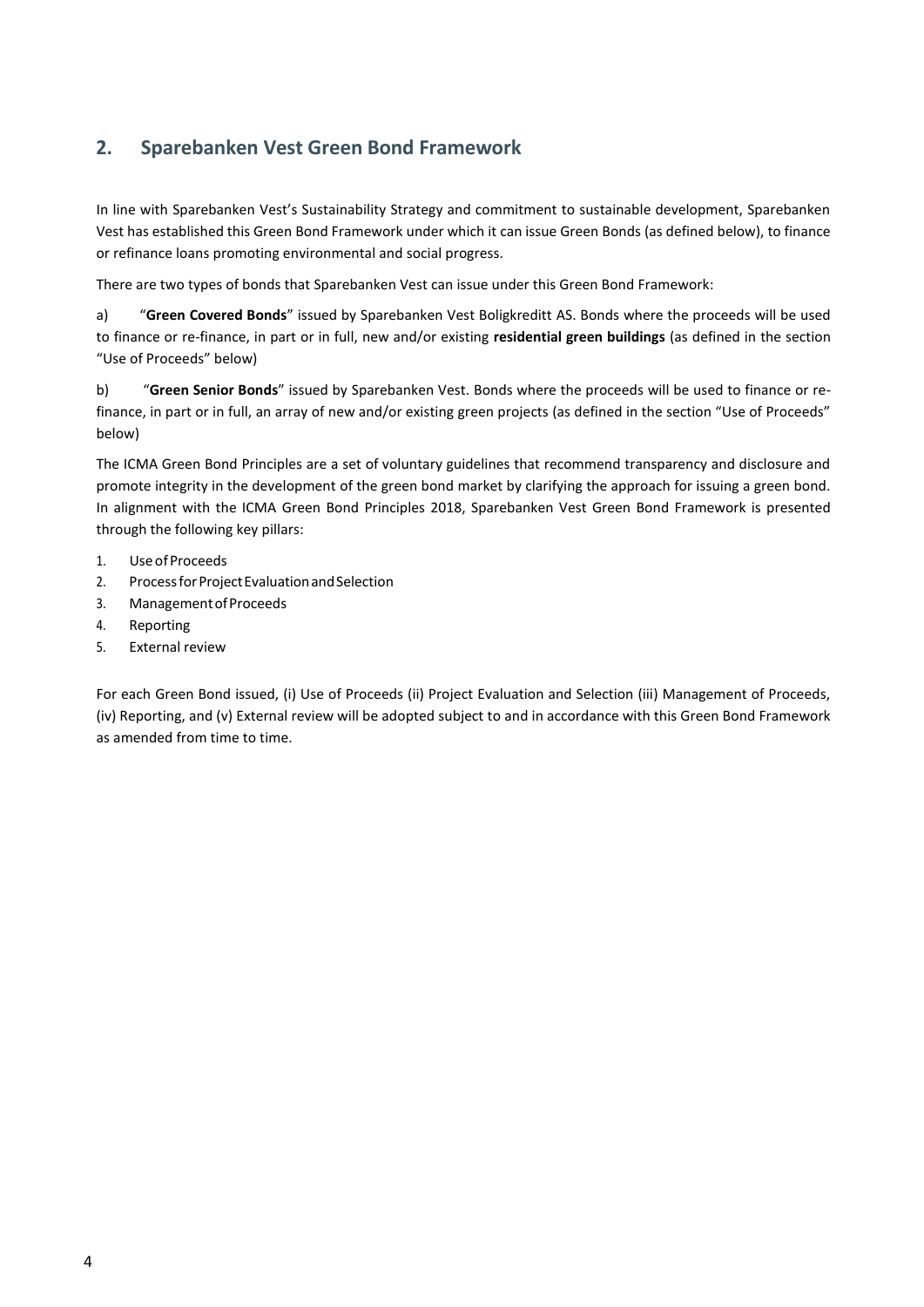# <span id="page-3-0"></span>**2. Sparebanken Vest Green Bond Framework**

In line with Sparebanken Vest's Sustainability Strategy and commitment to sustainable development, Sparebanken Vest has established this Green Bond Framework under which it can issue Green Bonds (as defined below), to finance or refinance loans promoting environmental and social progress.

There are two types of bonds that Sparebanken Vest can issue under this Green Bond Framework:

a) "**Green Covered Bonds**" issued by Sparebanken Vest Boligkreditt AS. Bonds where the proceeds will be used to finance or re-finance, in part or in full, new and/or existing **residential green buildings** (as defined in the section "Use of Proceeds" below)

b) "**Green Senior Bonds**" issued by Sparebanken Vest. Bonds where the proceeds will be used to finance or refinance, in part or in full, an array of new and/or existing green projects (as defined in the section "Use of Proceeds" below)

The ICMA Green Bond Principles are a set of voluntary guidelines that recommend transparency and disclosure and promote integrity in the development of the green bond market by clarifying the approach for issuing a green bond. In alignment with the ICMA Green Bond Principles 2018, Sparebanken Vest Green Bond Framework is presented through the following key pillars:

- 1. UseofProceeds
- 2. Process for Project Evaluation and Selection
- 3. ManagementofProceeds
- 4. Reporting
- 5. External review

For each Green Bond issued, (i) Use of Proceeds (ii) Project Evaluation and Selection (iii) Management of Proceeds, (iv) Reporting, and (v) External review will be adopted subject to and in accordance with this Green Bond Framework as amended from time to time.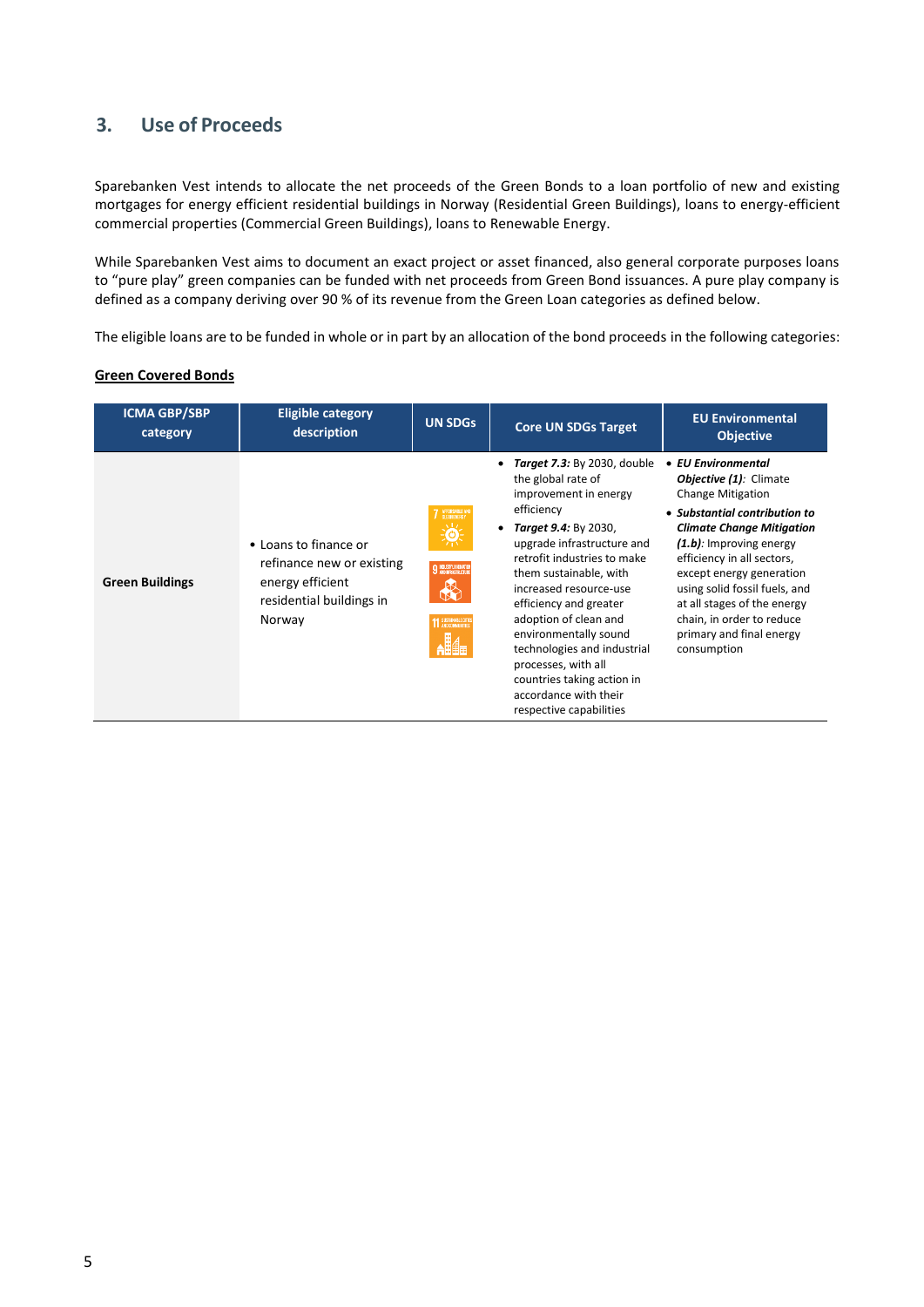# <span id="page-4-0"></span>**3. Use of Proceeds**

Sparebanken Vest intends to allocate the net proceeds of the Green Bonds to a loan portfolio of new and existing mortgages for energy efficient residential buildings in Norway (Residential Green Buildings), loans to energy-efficient commercial properties (Commercial Green Buildings), loans to Renewable Energy.

While Sparebanken Vest aims to document an exact project or asset financed, also general corporate purposes loans to "pure play" green companies can be funded with net proceeds from Green Bond issuances. A pure play company is defined as a company deriving over 90 % of its revenue from the Green Loan categories as defined below.

The eligible loans are to be funded in whole or in part by an allocation of the bond proceeds in the following categories:

#### **Green Covered Bonds**

| <b>ICMA GBP/SBP</b><br>category | <b>Eligible category</b><br>description                                                                      | <b>UN SDGs</b>                                                                                  | <b>Core UN SDGs Target</b>                                                                                                                                                                                                                                                                                                                                                                                                                                             | <b>EU Environmental</b><br><b>Objective</b>                                                                                                                                                                                                                                                                                                                                |
|---------------------------------|--------------------------------------------------------------------------------------------------------------|-------------------------------------------------------------------------------------------------|------------------------------------------------------------------------------------------------------------------------------------------------------------------------------------------------------------------------------------------------------------------------------------------------------------------------------------------------------------------------------------------------------------------------------------------------------------------------|----------------------------------------------------------------------------------------------------------------------------------------------------------------------------------------------------------------------------------------------------------------------------------------------------------------------------------------------------------------------------|
| <b>Green Buildings</b>          | • Loans to finance or<br>refinance new or existing<br>energy efficient<br>residential buildings in<br>Norway | <b>AFFORDABLE A</b><br><b>CLEANENERS'</b><br>9 MOUSTRY, INNOVATI<br><b>11 SUSTAINABLE CITTE</b> | <b>Target 7.3:</b> By 2030, double<br>٠<br>the global rate of<br>improvement in energy<br>efficiency<br>Target 9.4: By 2030,<br>٠<br>upgrade infrastructure and<br>retrofit industries to make<br>them sustainable, with<br>increased resource-use<br>efficiency and greater<br>adoption of clean and<br>environmentally sound<br>technologies and industrial<br>processes, with all<br>countries taking action in<br>accordance with their<br>respective capabilities | • EU Environmental<br>Objective (1): Climate<br><b>Change Mitigation</b><br>• Substantial contribution to<br><b>Climate Change Mitigation</b><br>(1.b): Improving energy<br>efficiency in all sectors,<br>except energy generation<br>using solid fossil fuels, and<br>at all stages of the energy<br>chain, in order to reduce<br>primary and final energy<br>consumption |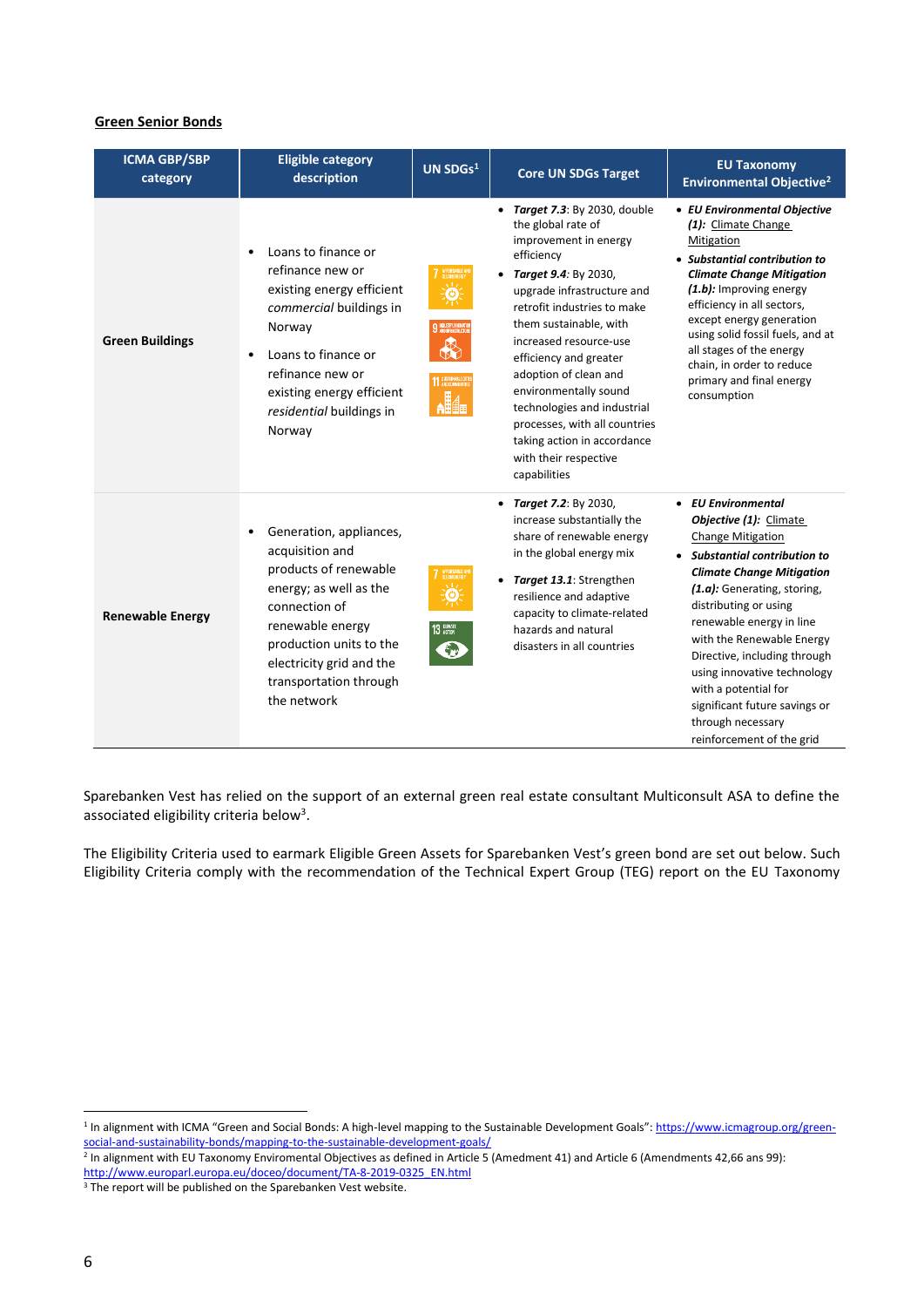#### **Green Senior Bonds**

| <b>ICMA GBP/SBP</b><br>category | <b>Eligible category</b><br>description                                                                                                                                                                                                         | UN $SDGs1$                          | <b>Core UN SDGs Target</b>                                                                                                                                                                                                                                                                                                                                                                                                                              | <b>EU Taxonomy</b><br><b>Environmental Objective<sup>2</sup></b>                                                                                                                                                                                                                                                                                                                                                                                           |
|---------------------------------|-------------------------------------------------------------------------------------------------------------------------------------------------------------------------------------------------------------------------------------------------|-------------------------------------|---------------------------------------------------------------------------------------------------------------------------------------------------------------------------------------------------------------------------------------------------------------------------------------------------------------------------------------------------------------------------------------------------------------------------------------------------------|------------------------------------------------------------------------------------------------------------------------------------------------------------------------------------------------------------------------------------------------------------------------------------------------------------------------------------------------------------------------------------------------------------------------------------------------------------|
| <b>Green Buildings</b>          | Loans to finance or<br>$\bullet$<br>refinance new or<br>existing energy efficient<br>commercial buildings in<br>Norway<br>Loans to finance or<br>refinance new or<br>existing energy efficient<br>residential buildings in<br>Norway            | 9 MONFRASIRIER<br>11 SUSTAINABLE CT | Target 7.3: By 2030, double<br>the global rate of<br>improvement in energy<br>efficiency<br>• Target 9.4: By 2030,<br>upgrade infrastructure and<br>retrofit industries to make<br>them sustainable, with<br>increased resource-use<br>efficiency and greater<br>adoption of clean and<br>environmentally sound<br>technologies and industrial<br>processes, with all countries<br>taking action in accordance<br>with their respective<br>capabilities | • EU Environmental Objective<br>(1): Climate Change<br>Mitigation<br>• Substantial contribution to<br><b>Climate Change Mitigation</b><br>(1.b): Improving energy<br>efficiency in all sectors,<br>except energy generation<br>using solid fossil fuels, and at<br>all stages of the energy<br>chain, in order to reduce<br>primary and final energy<br>consumption                                                                                        |
| <b>Renewable Energy</b>         | Generation, appliances,<br>$\bullet$<br>acquisition and<br>products of renewable<br>energy; as well as the<br>connection of<br>renewable energy<br>production units to the<br>electricity grid and the<br>transportation through<br>the network | 13 GUNATE                           | <b>Target 7.2: By 2030,</b><br>increase substantially the<br>share of renewable energy<br>in the global energy mix<br>Target 13.1: Strengthen<br>$\bullet$<br>resilience and adaptive<br>capacity to climate-related<br>hazards and natural<br>disasters in all countries                                                                                                                                                                               | <b>EU Environmental</b><br>$\bullet$<br>Objective (1): Climate<br><b>Change Mitigation</b><br>• Substantial contribution to<br><b>Climate Change Mitigation</b><br>(1.a): Generating, storing,<br>distributing or using<br>renewable energy in line<br>with the Renewable Energy<br>Directive, including through<br>using innovative technology<br>with a potential for<br>significant future savings or<br>through necessary<br>reinforcement of the grid |

Sparebanken Vest has relied on the support of an external green real estate consultant Multiconsult ASA to define the associated eligibility criteria below<sup>3</sup>.

The Eligibility Criteria used to earmark Eligible Green Assets for Sparebanken Vest's green bond are set out below. Such Eligibility Criteria comply with the recommendation of the Technical Expert Group (TEG) report on the EU Taxonomy

<sup>&</sup>lt;sup>1</sup> In alignment with ICMA "Green and Social Bonds: A high-level mapping to the Sustainable Development Goals": [https://www.icmagroup.org/green](https://www.icmagroup.org/green-social-and-sustainability-bonds/mapping-to-the-sustainable-development-goals/)<u>[social-and-sustainability-bonds/mapping-to-the-sustainable-development-goals/](https://www.icmagroup.org/green-social-and-sustainability-bonds/mapping-to-the-sustainable-development-goals/)</u><br><sup>2</sup> In alignment with EU Taxonomy Enviromental Objectives as defined in Article 5 (Amedment 41) and Article 6 (Amendments 42,66 ans 99):

[http://www.europarl.europa.eu/doceo/document/TA-8-2019-0325\\_EN.html](http://www.europarl.europa.eu/doceo/document/TA-8-2019-0325_EN.html)

<sup>&</sup>lt;sup>3</sup> The report will be published on the Sparebanken Vest website.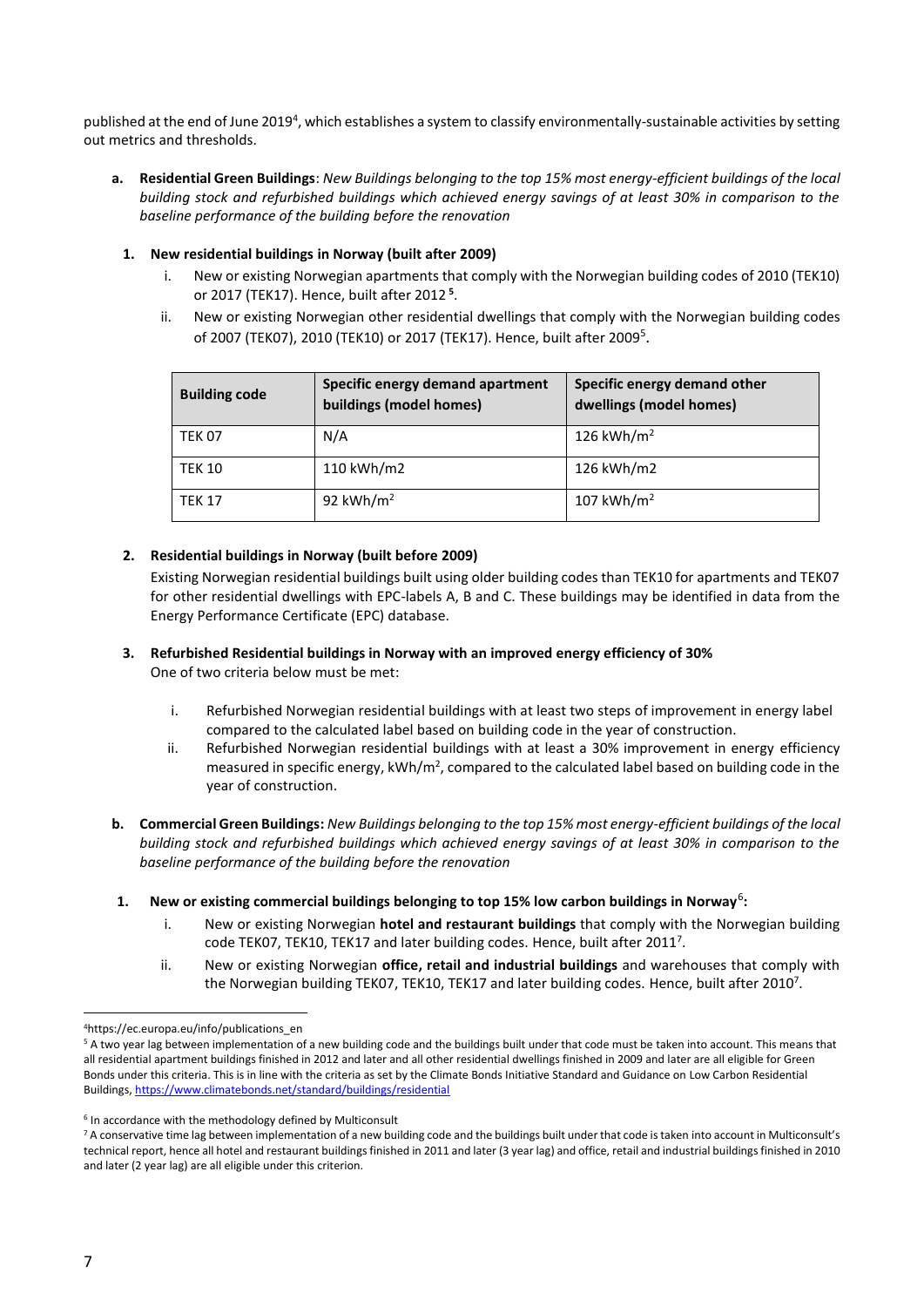published at the end of June 2019<sup>4</sup>, which establishes a system to classify environmentally-sustainable activities by setting out metrics and thresholds.

**a. Residential Green Buildings**: *New Buildings belonging to the top 15% most energy-efficient buildings of the local building stock and refurbished buildings which achieved energy savings of at least 30% in comparison to the baseline performance of the building before the renovation*

#### **1. New residential buildings in Norway (built after 2009)**

- <span id="page-6-0"></span>i. New or existing Norwegian apartments that comply with the Norwegian building codes of 2010 (TEK10) or 2017 (TEK17). Hence, built after 2012 **<sup>5</sup>** .
- ii. New or existing Norwegian other residential dwellings that comply with the Norwegian building codes of 2007 (TEK07), 2010 (TEK10) or 2017 (TEK17). Hence, built after 200[9](#page-6-0)<sup>5</sup>.

| <b>Building code</b> | Specific energy demand apartment<br>buildings (model homes) | Specific energy demand other<br>dwellings (model homes) |
|----------------------|-------------------------------------------------------------|---------------------------------------------------------|
| <b>TEK 07</b>        | N/A                                                         | 126 kWh/m <sup>2</sup>                                  |
| <b>TEK 10</b>        | 110 kWh/m2                                                  | 126 kWh/m2                                              |
| <b>TEK 17</b>        | 92 kWh/ $m2$                                                | 107 kWh/m <sup>2</sup>                                  |

#### **2. Residential buildings in Norway (built before 2009)**

Existing Norwegian residential buildings built using older building codes than TEK10 for apartments and TEK07 for other residential dwellings with EPC-labels A, B and C. These buildings may be identified in data from the Energy Performance Certificate (EPC) database.

#### **3. Refurbished Residential buildings in Norway with an improved energy efficiency of 30%**  One of two criteria below must be met:

- i. Refurbished Norwegian residential buildings with at least two steps of improvement in energy label compared to the calculated label based on building code in the year of construction.
- <span id="page-6-1"></span>ii. Refurbished Norwegian residential buildings with at least a 30% improvement in energy efficiency measured in specific energy,  $kWh/m^2$ , compared to the calculated label based on building code in the year of construction.
- **b. Commercial Green Buildings:** *New Buildings belonging to the top 15% most energy-efficient buildings of the local building stock and refurbished buildings which achieved energy savings of at least 30% in comparison to the baseline performance of the building before the renovation*
- **1. New or existing commercial buildings belonging to top 15% low carbon buildings in Norway**<sup>6</sup> **:**
	- i. New or existing Norwegian **hotel and restaurant buildings** that comply with the Norwegian building code TEK07, TEK10, TEK17 and later building codes. Hence, built after 2011<sup>7</sup>.
	- ii. New or existing Norwegian **office, retail and industrial buildings** and warehouses that comply with the Norwegian building TEK[0](#page-6-1)7, TEK10, TEK17 and later building codes. Hence, built after 2010<sup>7</sup>.

<sup>4</sup>https://ec.europa.eu/info/publications\_en

<sup>5</sup> A two year lag between implementation of a new building code and the buildings built under that code must be taken into account. This means that all residential apartment buildings finished in 2012 and later and all other residential dwellings finished in 2009 and later are all eligible for Green Bonds under this criteria. This is in line with the criteria as set by the Climate Bonds Initiative Standard and Guidance on Low Carbon Residential Buildings[, https://www.climatebonds.net/standard/buildings/residential](https://www.climatebonds.net/standard/buildings/residential) 

<sup>6</sup> In accordance with the methodology defined by Multiconsult

<sup>7</sup> A conservative time lag between implementation of a new building code and the buildings built under that code is taken into account in Multiconsult's technical report, hence all hotel and restaurant buildings finished in 2011 and later (3 year lag) and office, retail and industrial buildings finished in 2010 and later (2 year lag) are all eligible under this criterion.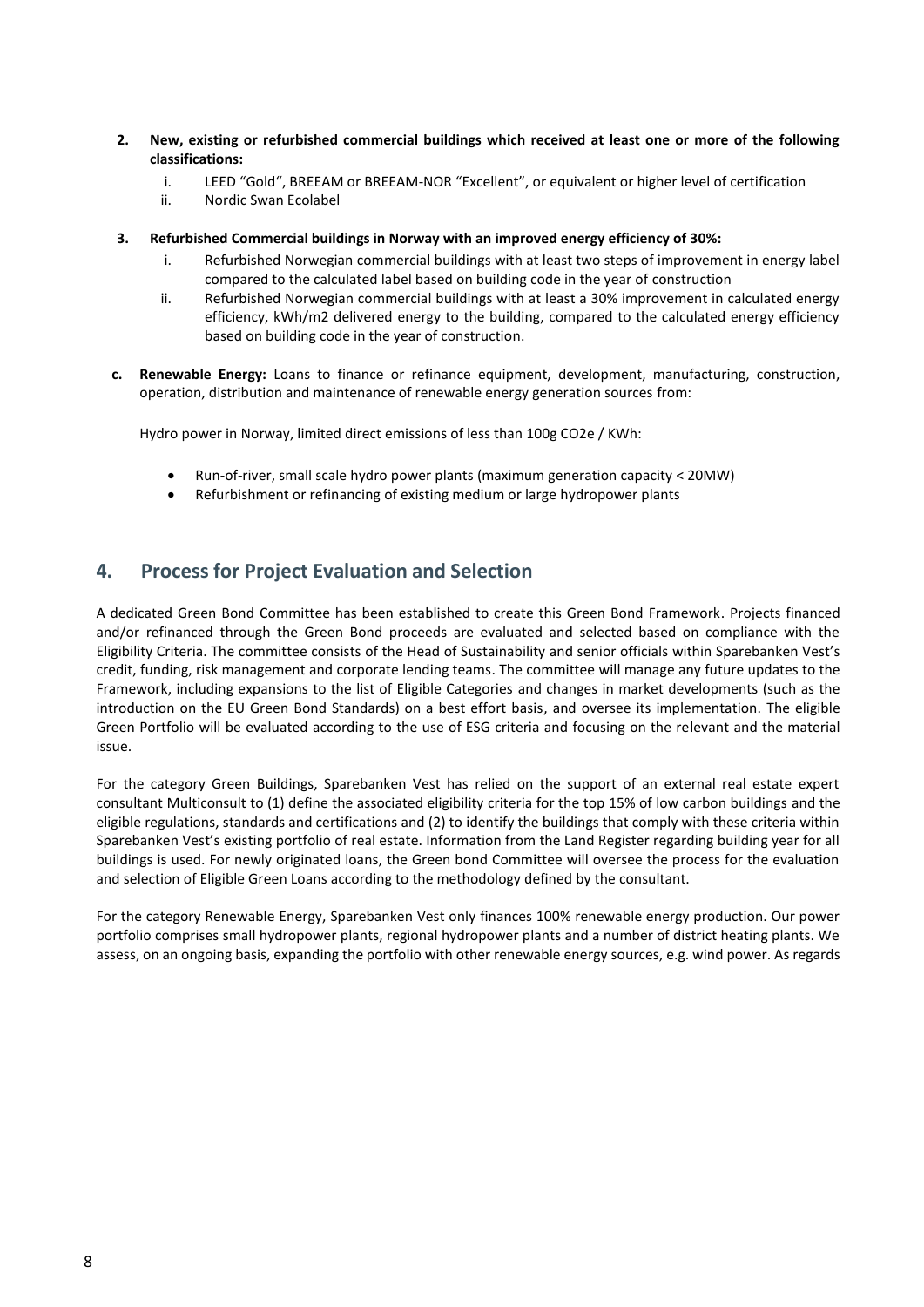- **2. New, existing or refurbished commercial buildings which received at least one or more of the following classifications:**
	- i. LEED "Gold", BREEAM or BREEAM-NOR "Excellent", or equivalent or higher level of certification
	- ii. Nordic Swan Ecolabel
- **3. Refurbished Commercial buildings in Norway with an improved energy efficiency of 30%:** 
	- i. Refurbished Norwegian commercial buildings with at least two steps of improvement in energy label compared to the calculated label based on building code in the year of construction
	- ii. Refurbished Norwegian commercial buildings with at least a 30% improvement in calculated energy efficiency, kWh/m2 delivered energy to the building, compared to the calculated energy efficiency based on building code in the year of construction.
- **c. Renewable Energy:** Loans to finance or refinance equipment, development, manufacturing, construction, operation, distribution and maintenance of renewable energy generation sources from:

Hydro power in Norway, limited direct emissions of less than 100g CO2e / KWh:

- Run-of-river, small scale hydro power plants (maximum generation capacity < 20MW)
- Refurbishment or refinancing of existing medium or large hydropower plants

# <span id="page-7-0"></span>**4. Process for Project Evaluation and Selection**

A dedicated Green Bond Committee has been established to create this Green Bond Framework. Projects financed and/or refinanced through the Green Bond proceeds are evaluated and selected based on compliance with the Eligibility Criteria. The committee consists of the Head of Sustainability and senior officials within Sparebanken Vest's credit, funding, risk management and corporate lending teams. The committee will manage any future updates to the Framework, including expansions to the list of Eligible Categories and changes in market developments (such as the introduction on the EU Green Bond Standards) on a best effort basis, and oversee its implementation. The eligible Green Portfolio will be evaluated according to the use of ESG criteria and focusing on the relevant and the material issue.

For the category Green Buildings, Sparebanken Vest has relied on the support of an external real estate expert consultant Multiconsult to (1) define the associated eligibility criteria for the top 15% of low carbon buildings and the eligible regulations, standards and certifications and (2) to identify the buildings that comply with these criteria within Sparebanken Vest's existing portfolio of real estate. Information from the Land Register regarding building year for all buildings is used. For newly originated loans, the Green bond Committee will oversee the process for the evaluation and selection of Eligible Green Loans according to the methodology defined by the consultant.

For the category Renewable Energy, Sparebanken Vest only finances 100% renewable energy production. Our power portfolio comprises small hydropower plants, regional hydropower plants and a number of district heating plants. We assess, on an ongoing basis, expanding the portfolio with other renewable energy sources, e.g. wind power. As regards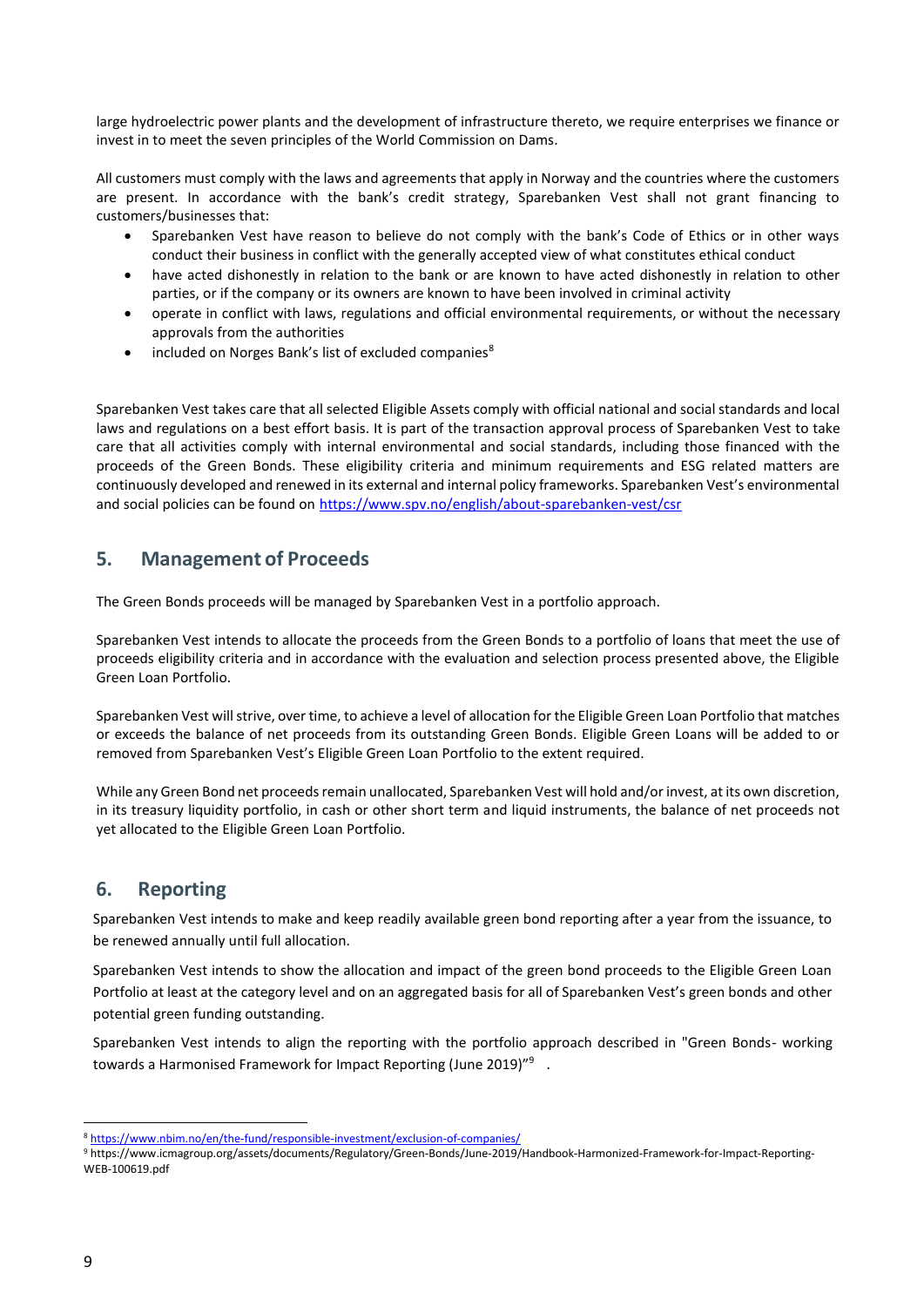large hydroelectric power plants and the development of infrastructure thereto, we require enterprises we finance or invest in to meet the seven principles of the World Commission on Dams.

All customers must comply with the laws and agreements that apply in Norway and the countries where the customers are present. In accordance with the bank's credit strategy, Sparebanken Vest shall not grant financing to customers/businesses that:

- Sparebanken Vest have reason to believe do not comply with the bank's Code of Ethics or in other ways conduct their business in conflict with the generally accepted view of what constitutes ethical conduct
- have acted dishonestly in relation to the bank or are known to have acted dishonestly in relation to other parties, or if the company or its owners are known to have been involved in criminal activity
- operate in conflict with laws, regulations and official environmental requirements, or without the necessary approvals from the authorities
- included on Norges Bank's list of excluded companies<sup>8</sup>

Sparebanken Vest takes care that all selected Eligible Assets comply with official national and social standards and local laws and regulations on a best effort basis. It is part of the transaction approval process of Sparebanken Vest to take care that all activities comply with internal environmental and social standards, including those financed with the proceeds of the Green Bonds. These eligibility criteria and minimum requirements and ESG related matters are continuously developed and renewed in its external and internal policy frameworks. Sparebanken Vest's environmental and social policies can be found on <https://www.spv.no/english/about-sparebanken-vest/csr>

## <span id="page-8-0"></span>**5. Management of Proceeds**

The Green Bonds proceeds will be managed by Sparebanken Vest in a portfolio approach.

Sparebanken Vest intends to allocate the proceeds from the Green Bonds to a portfolio of loans that meet the use of proceeds eligibility criteria and in accordance with the evaluation and selection process presented above, the Eligible Green Loan Portfolio.

Sparebanken Vest will strive, over time, to achieve a level of allocation for the Eligible Green Loan Portfolio that matches or exceeds the balance of net proceeds from its outstanding Green Bonds. Eligible Green Loans will be added to or removed from Sparebanken Vest's Eligible Green Loan Portfolio to the extent required.

While any Green Bond net proceeds remain unallocated, Sparebanken Vest will hold and/or invest, at its own discretion, in its treasury liquidity portfolio, in cash or other short term and liquid instruments, the balance of net proceeds not yet allocated to the Eligible Green Loan Portfolio.

# <span id="page-8-1"></span>**6. Reporting**

Sparebanken Vest intends to make and keep readily available green bond reporting after a year from the issuance, to be renewed annually until full allocation.

Sparebanken Vest intends to show the allocation and impact of the green bond proceeds to the Eligible Green Loan Portfolio at least at the category level and on an aggregated basis for all of Sparebanken Vest's green bonds and other potential green funding outstanding.

Sparebanken Vest intends to align the reporting with the portfolio approach described in "Green Bonds- working towards a Harmonised Framework for Impact Reporting (June 2019) $^{\prime\prime 9}$  .

<sup>8</sup> <https://www.nbim.no/en/the-fund/responsible-investment/exclusion-of-companies/>

<sup>9</sup> https://www.icmagroup.org/assets/documents/Regulatory/Green-Bonds/June-2019/Handbook-Harmonized-Framework-for-Impact-Reporting-WEB-100619.pdf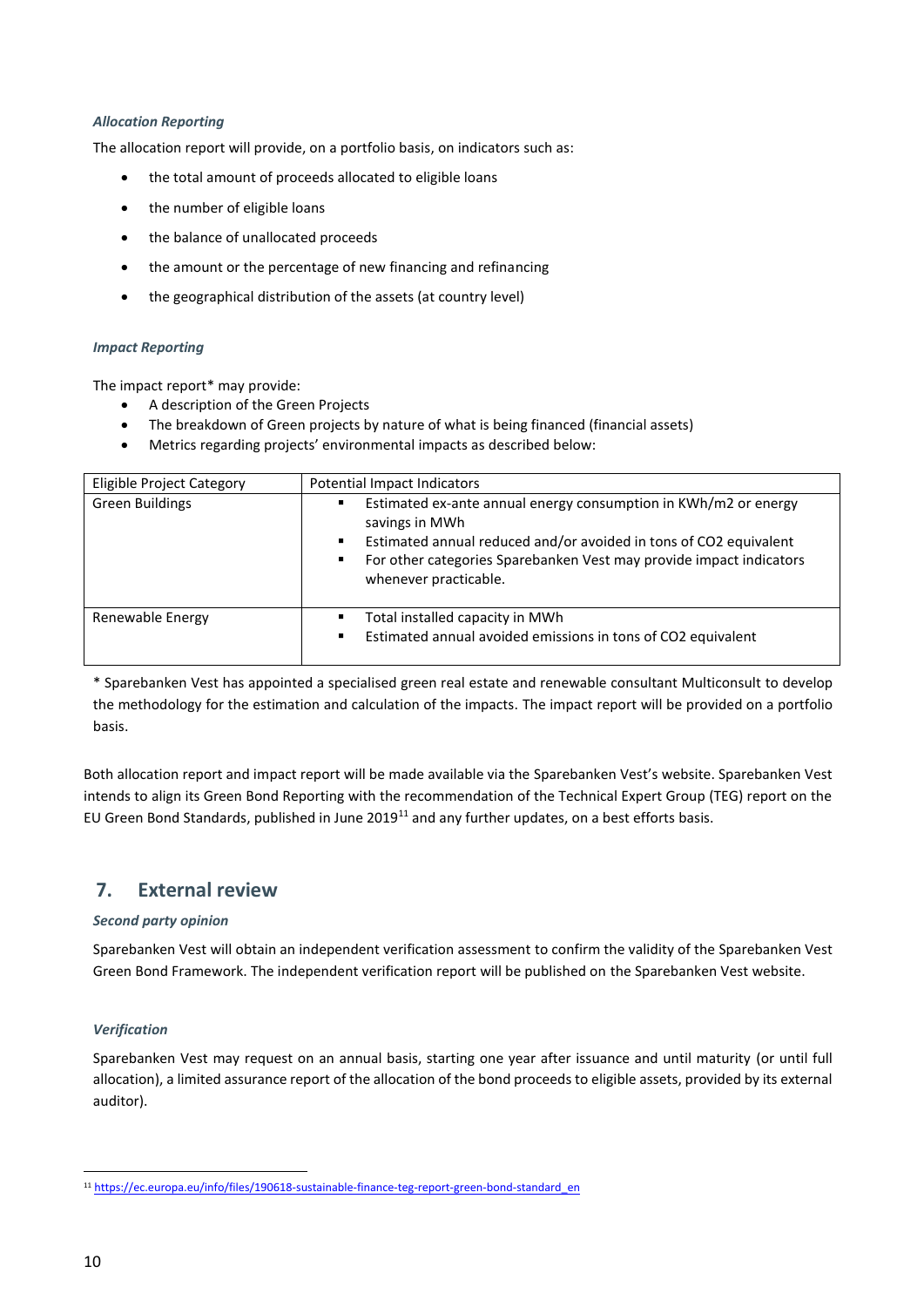#### *Allocation Reporting*

The allocation report will provide, on a portfolio basis, on indicators such as:

- the total amount of proceeds allocated to eligible loans
- the number of eligible loans
- the balance of unallocated proceeds
- the amount or the percentage of new financing and refinancing
- the geographical distribution of the assets (at country level)

#### *Impact Reporting*

The impact report\* may provide:

- A description of the Green Projects
- The breakdown of Green projects by nature of what is being financed (financial assets)
- Metrics regarding projects' environmental impacts as described below:

| Eligible Project Category | Potential Impact Indicators                                                                                                                                                                                                                                           |
|---------------------------|-----------------------------------------------------------------------------------------------------------------------------------------------------------------------------------------------------------------------------------------------------------------------|
| <b>Green Buildings</b>    | Estimated ex-ante annual energy consumption in KWh/m2 or energy<br>٠<br>savings in MWh<br>Estimated annual reduced and/or avoided in tons of CO2 equivalent<br>٠<br>For other categories Sparebanken Vest may provide impact indicators<br>٠<br>whenever practicable. |
| Renewable Energy          | Total installed capacity in MWh<br>٠<br>Estimated annual avoided emissions in tons of CO2 equivalent<br>٠                                                                                                                                                             |

\* Sparebanken Vest has appointed a specialised green real estate and renewable consultant Multiconsult to develop the methodology for the estimation and calculation of the impacts. The impact report will be provided on a portfolio basis.

Both allocation report and impact report will be made available via the Sparebanken Vest's website. Sparebanken Vest intends to align its Green Bond Reporting with the recommendation of the Technical Expert Group (TEG) report on the EU Green Bond Standards, published in June 2019<sup>11</sup> and any further updates, on a best efforts basis.

### <span id="page-9-0"></span>**7. External review**

#### *Second party opinion*

Sparebanken Vest will obtain an independent verification assessment to confirm the validity of the Sparebanken Vest Green Bond Framework. The independent verification report will be published on the Sparebanken Vest website.

#### *Verification*

Sparebanken Vest may request on an annual basis, starting one year after issuance and until maturity (or until full allocation), a limited assurance report of the allocation of the bond proceeds to eligible assets, provided by its external auditor).

<sup>11</sup> [https://ec.europa.eu/info/files/190618-sustainable-finance-teg-report-green-bond-standard\\_en](https://ec.europa.eu/info/files/190618-sustainable-finance-teg-report-green-bond-standard_en)